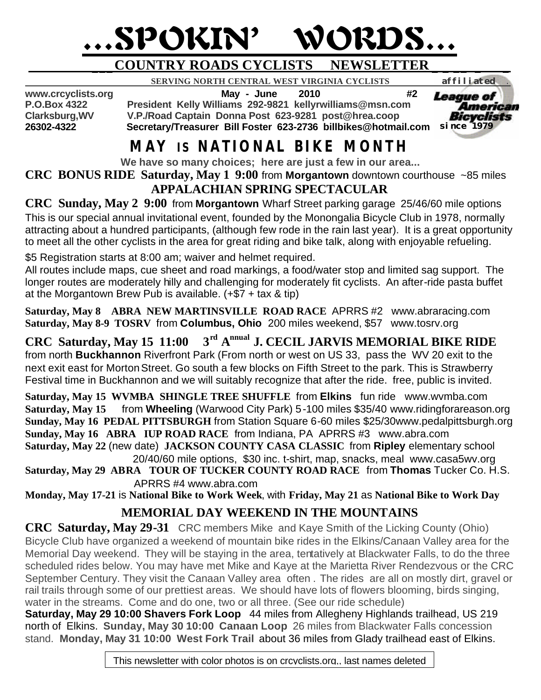# …SPOKIN' WORDS…

### **\_\_\_COUNTRY ROADS CYCLISTS NEWSLETTER \_ \_ \_\_ \_ \_**

 **SERVING NORTH CENTRAL WEST VIRGINIA CYCLISTS** *affiliated .* 

**www.crcyclists.org May - June 2010 #2**

**P.O.Box 4322 President Kelly Williams 292-9821 kellyrwilliams@msn.com Clarksburg,WV V.P./Road Captain Donna Post 623-9281 post@hrea.coop 26302-4322 Secretary/Treasurer Bill Foster 623-2736 billbikes@hotmail.com**  *since 1979*



## **MAY IS NATIONAL BIKE MONTH**

**We have so many choices; here are just a few in our area...**

**CRC BONUS RIDE Saturday, May 1 9:00** from **Morgantown** downtown courthouse ~85 miles **APPALACHIAN SPRING SPECTACULAR**

**CRC Sunday, May 2 9:00** from **Morgantown** Wharf Street parking garage 25/46/60 mile options This is our special annual invitational event, founded by the Monongalia Bicycle Club in 1978, normally attracting about a hundred participants, (although few rode in the rain last year). It is a great opportunity to meet all the other cyclists in the area for great riding and bike talk, along with enjoyable refueling.

\$5 Registration starts at 8:00 am; waiver and helmet required.

All routes include maps, cue sheet and road markings, a food/water stop and limited sag support. The longer routes are moderately hilly and challenging for moderately fit cyclists. An after-ride pasta buffet at the Morgantown Brew Pub is available. (+\$7 + tax & tip)

**Saturday, May 8 ABRA NEW MARTINSVILLE ROAD RACE** APRRS #2 www.abraracing.com **Saturday, May 8-9 TOSRV** from **Columbus, Ohio** 200 miles weekend, \$57 www.tosrv.org

**CRC Saturday, May 15 11:00**  $3<sup>rd</sup>$  A<sup>nnual</sup> J. CECIL JARVIS MEMORIAL BIKE RIDE from north **Buckhannon** Riverfront Park (From north or west on US 33, pass the WV 20 exit to the next exit east for Morton Street. Go south a few blocks on Fifth Street to the park. This is Strawberry Festival time in Buckhannon and we will suitably recognize that after the ride. free, public is invited.

**Saturday, May 15 WVMBA SHINGLE TREE SHUFFLE** from **Elkins** fun ride www.wvmba.com **Saturday, May 15** from **Wheeling** (Warwood City Park) 5-100 miles \$35/40 www.ridingforareason.org **Sunday, May 16 PEDAL PITTSBURGH** from Station Square 6-60 miles \$25/30www.pedalpittsburgh.org **Sunday, May 16 ABRA IUP ROAD RACE** from Indiana, PA APRRS #3 www.abra.com **Saturday, May 22** (new date) **JACKSON COUNTY CASA CLASSIC** from **Ripley** elementary school

 20/40/60 mile options, \$30 inc. t-shirt, map, snacks, meal www.casa5wv.org **Saturday, May 29 ABRA TOUR OF TUCKER COUNTY ROAD RACE** from **Thomas** Tucker Co. H.S.

 APRRS #4 www.abra.com **Monday, May 17-21** is **National Bike to Work Week**, with **Friday, May 21** as **National Bike to Work Day**

## **MEMORIAL DAY WEEKEND IN THE MOUNTAINS**

**CRC Saturday, May 29-31** CRC members Mike and Kaye Smith of the Licking County (Ohio) Bicycle Club have organized a weekend of mountain bike rides in the Elkins/Canaan Valley area for the Memorial Day weekend. They will be staying in the area, tentatively at Blackwater Falls, to do the three scheduled rides below. You may have met Mike and Kaye at the Marietta River Rendezvous or the CRC September Century. They visit the Canaan Valley area often . The rides are all on mostly dirt, gravel or rail trails through some of our prettiest areas. We should have lots of flowers blooming, birds singing, water in the streams. Come and do one, two or all three. (See our ride schedule)

**Saturday, May 29 10:00 Shavers Fork Loop** 44 miles from Allegheny Highlands trailhead, US 219 north of Elkins. **Sunday, May 30 10:00 Canaan Loop** 26 miles from Blackwater Falls concession stand. **Monday, May 31 10:00 West Fork Trail** about 36 miles from Glady trailhead east of Elkins.

This newsletter with color photos is on crcyclists.org,, last names deleted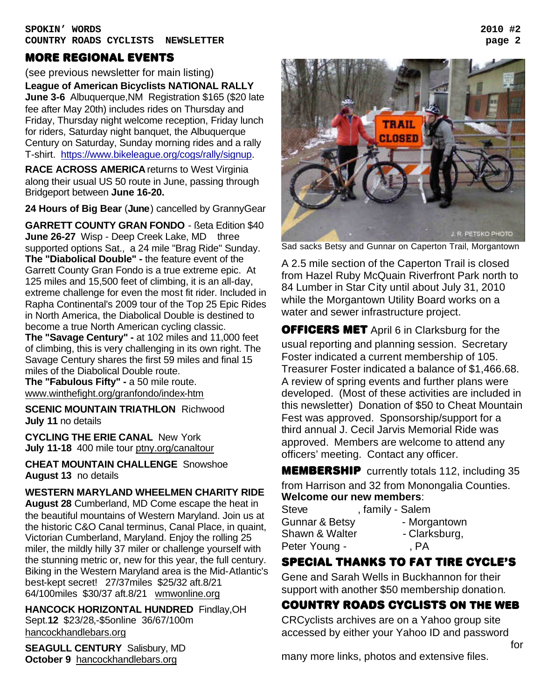#### MORE REGIONAL EVENTS

(see previous newsletter for main listing) **League of American Bicyclists NATIONAL RALLY June 3-6** Albuquerque,NM Registration \$165 (\$20 late fee after May 20th) includes rides on Thursday and Friday, Thursday night welcome reception, Friday lunch for riders, Saturday night banquet, the Albuquerque Century on Saturday, Sunday morning rides and a rally T-shirt. https://www.bikeleague.org/cogs/rally/signup.

**RACE ACROSS AMERICA** returns to West Virginia along their usual US 50 route in June, passing through Bridgeport between **June 16-20.**

**24 Hours of Big Bear** (**June**) cancelled by GrannyGear

**GARRETT COUNTY GRAN FONDO** - ßeta Edition \$40 **June 26-27** Wisp - Deep Creek Lake, MD three supported options Sat., a 24 mile "Brag Ride" Sunday. **The "Diabolical Double" -** the feature event of the Garrett County Gran Fondo is a true extreme epic. At 125 miles and 15,500 feet of climbing, it is an all-day, extreme challenge for even the most fit rider. Included in Rapha Continental's 2009 tour of the Top 25 Epic Rides in North America, the Diabolical Double is destined to become a true North American cycling classic. **The "Savage Century" -** at 102 miles and 11,000 feet of climbing, this is very challenging in its own right. The Savage Century shares the first 59 miles and final 15

miles of the Diabolical Double route. **The "Fabulous Fifty" -** a 50 mile route. www.winthefight.org/granfondo/index-htm

**SCENIC MOUNTAIN TRIATHLON** Richwood **July 11** no details

**CYCLING THE ERIE CANAL** New York **July 11-18** 400 mile tour ptny.org/canaltour

**CHEAT MOUNTAIN CHALLENGE** Snowshoe **August 13** no details

#### **WESTERN MARYLAND WHEELMEN CHARITY RIDE**

**August 28** Cumberland, MD Come escape the heat in the beautiful mountains of Western Maryland. Join us at the historic C&O Canal terminus, Canal Place, in quaint, Victorian Cumberland, Maryland. Enjoy the rolling 25 miler, the mildly hilly 37 miler or challenge yourself with the stunning metric or, new for this year, the full century. Biking in the Western Maryland area is the Mid-Atlantic's best-kept secret! 27/37miles \$25/32 aft.8/21 64/100miles \$30/37 aft.8/21 wmwonline.org

**HANCOCK HORIZONTAL HUNDRED** Findlay,OH Sept.**12** \$23/28,-\$5online 36/67/100m hancockhandlebars.org

**SEAGULL CENTURY** Salisbury, MD **October 9** hancockhandlebars.org



Sad sacks Betsy and Gunnar on Caperton Trail, Morgantown

A 2.5 mile section of the Caperton Trail is closed from Hazel Ruby McQuain Riverfront Park north to 84 Lumber in Star City until about July 31, 2010 while the Morgantown Utility Board works on a water and sewer infrastructure project.

**OFFICERS MET** April 6 in Clarksburg for the usual reporting and planning session. Secretary Foster indicated a current membership of 105. Treasurer Foster indicated a balance of \$1,466.68. A review of spring events and further plans were developed. (Most of these activities are included in this newsletter) Donation of \$50 to Cheat Mountain Fest was approved. Sponsorship/support for a third annual J. Cecil Jarvis Memorial Ride was approved. Members are welcome to attend any officers' meeting. Contact any officer.

**MEMBERSHIP** currently totals 112, including 35 from Harrison and 32 from Monongalia Counties. **Welcome our new members**:

| Steve          | , family - Salem |
|----------------|------------------|
| Gunnar & Betsy | - Morgantown     |
| Shawn & Walter | - Clarksburg,    |
| Peter Young -  | , PA             |

#### SPECIAL THANKS TO FAT TIRE CYCLE's

Gene and Sarah Wells in Buckhannon for their support with another \$50 membership donation.

#### Country roads CYCLISTS ON THE WEB

CRCyclists archives are on a Yahoo group site accessed by either your Yahoo ID and password

many more links, photos and extensive files.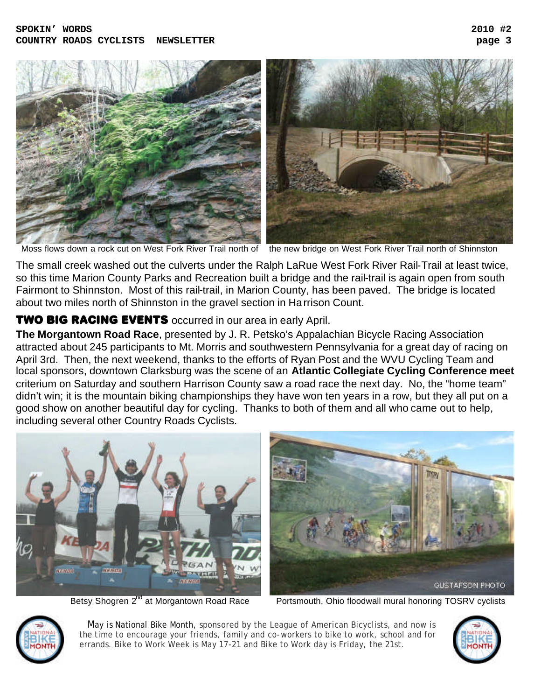

Moss flows down a rock cut on West Fork River Trail north of the new bridge on West Fork River Trail north of Shinnston

The small creek washed out the culverts under the Ralph LaRue West Fork River Rail-Trail at least twice, so this time Marion County Parks and Recreation built a bridge and the rail-trail is again open from south Fairmont to Shinnston. Most of this rail-trail, in Marion County, has been paved. The bridge is located about two miles north of Shinnston in the gravel section in Harrison Count.

#### **TWO BIG RACING EVENTS** occurred in our area in early April.

**The Morgantown Road Race**, presented by J. R. Petsko's Appalachian Bicycle Racing Association attracted about 245 participants to Mt. Morris and southwestern Pennsylvania for a great day of racing on April 3rd. Then, the next weekend, thanks to the efforts of Ryan Post and the WVU Cycling Team and local sponsors, downtown Clarksburg was the scene of an **Atlantic Collegiate Cycling Conference meet**  criterium on Saturday and southern Harrison County saw a road race the next day. No, the "home team" didn't win; it is the mountain biking championships they have won ten years in a row, but they all put on a good show on another beautiful day for cycling. Thanks to both of them and all who came out to help, including several other Country Roads Cyclists.



Betsy Shogren 2<sup>nd</sup> at Morgantown Road Race Portsmouth, Ohio floodwall mural honoring TOSRV cyclists



 May is National Bike Month, sponsored by the League of American Bicyclists, and now is the time to encourage your friends, family and co-workers to bike to work, school and for errands. Bike to Work Week is May 17-21 and Bike to Work day is Friday, the 21st.